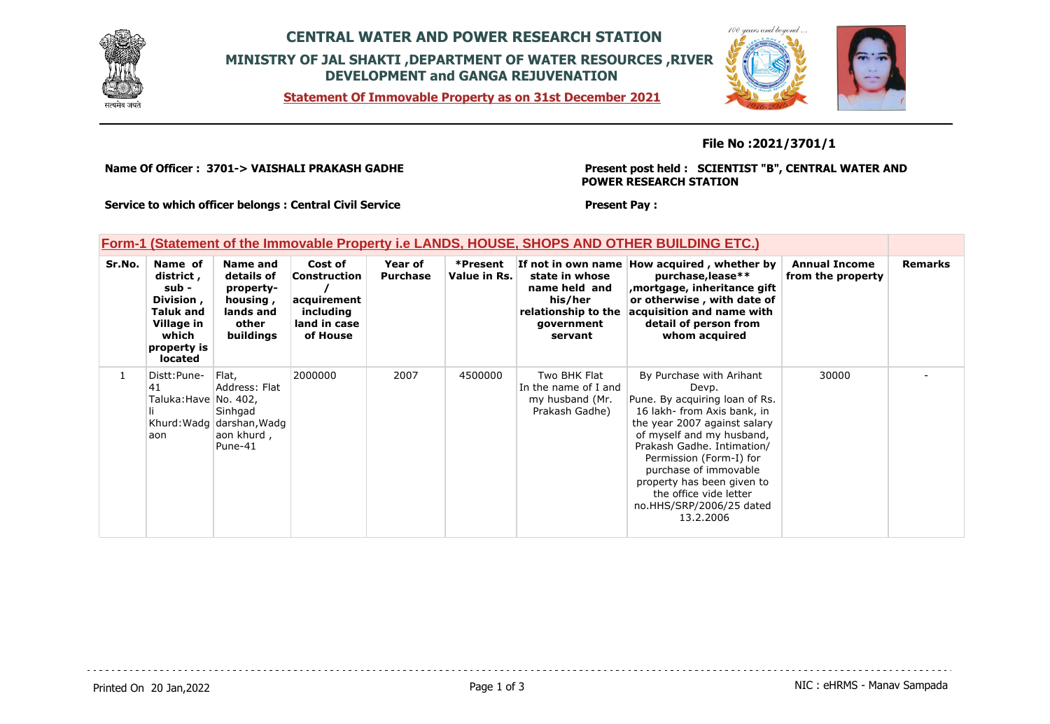

# **CENTRAL WATER AND POWER RESEARCH STATION MINISTRY OF JAL SHAKTI ,DEPARTMENT OF WATER RESOURCES ,RIVER DEVELOPMENT and GANGA REJUVENATION**

 $100$ *MARINE CLARA* 

**Statement Of Immovable Property as on 31st December 2021**

### **File No :2021/3701/1**

**Name Of Officer : 3701-> VAISHALI PRAKASH GADHE** 

**Present post held : SCIENTIST "B", CENTRAL WATER AND POWER RESEARCH STATION**

**Service to which officer belongs : Central Civil Service**

#### **Present Pay :**

### **Form-1 (Statement of the Immovable Property i.e LANDS, HOUSE, SHOPS AND OTHER BUILDING ETC.)**

| Sr.No. | Name of<br>district,<br>sub -<br>Division,<br><b>Taluk and</b><br>Village in<br>which<br>property is<br>located | Name and<br>details of<br>property-<br>housing,<br>lands and<br>other<br>buildings      | Cost of<br>Construction<br>acquirement<br>including<br>land in case<br>of House | Year of<br><b>Purchase</b> | *Present<br>Value in Rs. | state in whose<br>name held and<br>his/her<br>relationship to the<br>government<br>servant | If not in own name How acquired, whether by<br>purchase, lease**<br>mortgage, inheritance gift<br>or otherwise, with date of<br>acquisition and name with<br>detail of person from<br>whom acquired                                                                                                                                                | <b>Annual Income</b><br>from the property | <b>Remarks</b> |
|--------|-----------------------------------------------------------------------------------------------------------------|-----------------------------------------------------------------------------------------|---------------------------------------------------------------------------------|----------------------------|--------------------------|--------------------------------------------------------------------------------------------|----------------------------------------------------------------------------------------------------------------------------------------------------------------------------------------------------------------------------------------------------------------------------------------------------------------------------------------------------|-------------------------------------------|----------------|
| 1      | Distt: Pune-<br>41<br>Taluka:Have No. 402,<br>aon                                                               | Flat.<br>Address: Flat<br>Sinhgad<br>Khurd: Wadg darshan, Wadg<br>aon khurd,<br>Pune-41 | 2000000                                                                         | 2007                       | 4500000                  | Two BHK Flat<br>In the name of I and<br>my husband (Mr.<br>Prakash Gadhe)                  | By Purchase with Arihant<br>Devp.<br>Pune. By acquiring loan of Rs.<br>16 lakh- from Axis bank, in<br>the year 2007 against salary<br>of myself and my husband,<br>Prakash Gadhe. Intimation/<br>Permission (Form-I) for<br>purchase of immovable<br>property has been given to<br>the office vide letter<br>no.HHS/SRP/2006/25 dated<br>13.2.2006 | 30000                                     |                |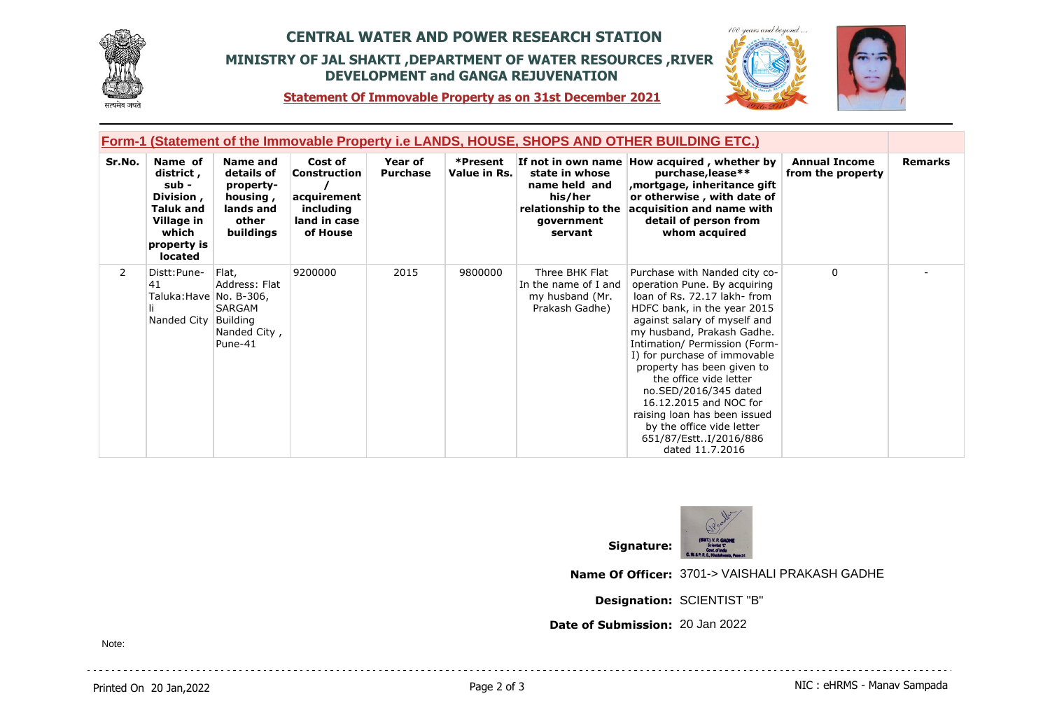

# **CENTRAL WATER AND POWER RESEARCH STATION MINISTRY OF JAL SHAKTI ,DEPARTMENT OF WATER RESOURCES ,RIVER DEVELOPMENT and GANGA REJUVENATION**



 $100$ 

**Statement Of Immovable Property as on 31st December 2021**

| Form-1 (Statement of the Immovable Property i.e LANDS, HOUSE, SHOPS AND OTHER BUILDING ETC.) |                                                                                                                 |                                                                                    |                                                                                 |                            |                          |                                                                                            |                                                                                                                                                                                                                                                                                                                                                                                                                                                                                |                                           |                |
|----------------------------------------------------------------------------------------------|-----------------------------------------------------------------------------------------------------------------|------------------------------------------------------------------------------------|---------------------------------------------------------------------------------|----------------------------|--------------------------|--------------------------------------------------------------------------------------------|--------------------------------------------------------------------------------------------------------------------------------------------------------------------------------------------------------------------------------------------------------------------------------------------------------------------------------------------------------------------------------------------------------------------------------------------------------------------------------|-------------------------------------------|----------------|
| Sr.No.                                                                                       | Name of<br>district,<br>sub -<br>Division,<br><b>Taluk and</b><br>Village in<br>which<br>property is<br>located | Name and<br>details of<br>property-<br>housing,<br>lands and<br>other<br>buildings | Cost of<br>Construction<br>acquirement<br>including<br>land in case<br>of House | Year of<br><b>Purchase</b> | *Present<br>Value in Rs. | state in whose<br>name held and<br>his/her<br>relationship to the<br>government<br>servant | If not in own name How acquired, whether by<br>purchase, lease**<br>mortgage, inheritance gift<br>or otherwise, with date of<br>acquisition and name with<br>detail of person from<br>whom acquired                                                                                                                                                                                                                                                                            | <b>Annual Income</b><br>from the property | <b>Remarks</b> |
| $\mathbf{2}$                                                                                 | Distt: Pune-<br>41<br>Taluka:Have No. B-306,<br>Nanded City                                                     | Flat,<br>Address: Flat<br>SARGAM<br>Building<br>Nanded City,<br>Pune-41            | 9200000                                                                         | 2015                       | 9800000                  | Three BHK Flat<br>In the name of I and<br>my husband (Mr.<br>Prakash Gadhe)                | Purchase with Nanded city co-<br>operation Pune. By acquiring<br>loan of Rs. 72.17 lakh-from<br>HDFC bank, in the year 2015<br>against salary of myself and<br>my husband, Prakash Gadhe.<br>Intimation/ Permission (Form-<br>I) for purchase of immovable<br>property has been given to<br>the office vide letter<br>no.SED/2016/345 dated<br>16.12.2015 and NOC for<br>raising loan has been issued<br>by the office vide letter<br>651/87/EsttI/2016/886<br>dated 11.7.2016 | $\mathbf{0}$                              |                |



**Name Of Officer:** 3701-> VAISHALI PRAKASH GADHE

**Designation:** SCIENTIST "B"

**Date of Submission:** 20 Jan 2022

Note: